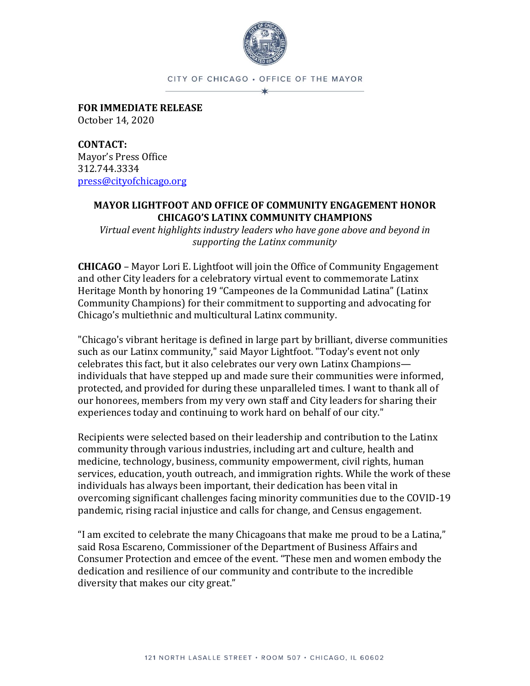

CITY OF CHICAGO . OFFICE OF THE MAYOR

**FOR IMMEDIATE RELEASE** October 14, 2020

**CONTACT:**  Mayor's Press Office 312.744.3334 [press@cityofchicago.org](mailto:press@cityofchicago.org)

### **MAYOR LIGHTFOOT AND OFFICE OF COMMUNITY ENGAGEMENT HONOR CHICAGO'S LATINX COMMUNITY CHAMPIONS**

*Virtual event highlights industry leaders who have gone above and beyond in supporting the Latinx community* 

**CHICAGO** – Mayor Lori E. Lightfoot will join the Office of Community Engagement and other City leaders for a celebratory virtual event to commemorate Latinx Heritage Month by honoring 19 "Campeones de la Communidad Latina" (Latinx Community Champions) for their commitment to supporting and advocating for Chicago's multiethnic and multicultural Latinx community.

"Chicago's vibrant heritage is defined in large part by brilliant, diverse communities such as our Latinx community," said Mayor Lightfoot. "Today's event not only celebrates this fact, but it also celebrates our very own Latinx Champions individuals that have stepped up and made sure their communities were informed, protected, and provided for during these unparalleled times. I want to thank all of our honorees, members from my very own staff and City leaders for sharing their experiences today and continuing to work hard on behalf of our city."

Recipients were selected based on their leadership and contribution to the Latinx community through various industries, including art and culture, health and medicine, technology, business, community empowerment, civil rights, human services, education, youth outreach, and immigration rights. While the work of these individuals has always been important, their dedication has been vital in overcoming significant challenges facing minority communities due to the COVID-19 pandemic, rising racial injustice and calls for change, and Census engagement.

"I am excited to celebrate the many Chicagoans that make me proud to be a Latina," said Rosa Escareno, Commissioner of the Department of Business Affairs and Consumer Protection and emcee of the event. "These men and women embody the dedication and resilience of our community and contribute to the incredible diversity that makes our city great."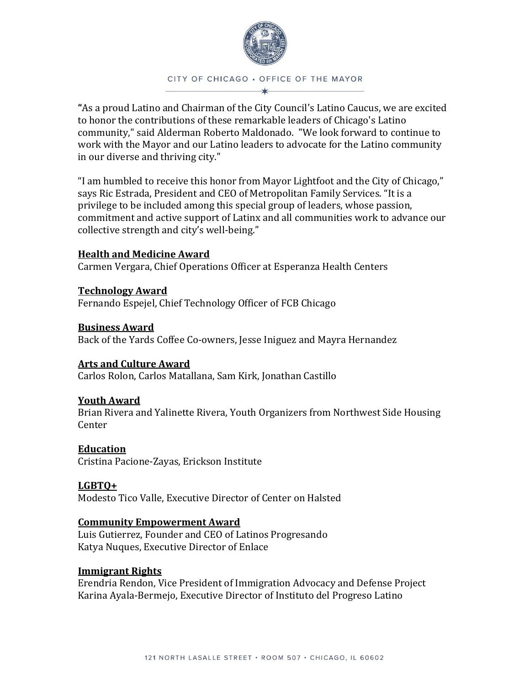

# CITY OF CHICAGO . OFFICE OF THE MAYOR

**"**As a proud Latino and Chairman of the City Council's Latino Caucus, we are excited to honor the contributions of these remarkable leaders of Chicago's Latino community," said Alderman Roberto Maldonado. "We look forward to continue to work with the Mayor and our Latino leaders to advocate for the Latino community in our diverse and thriving city."

"I am humbled to receive this honor from Mayor Lightfoot and the City of Chicago," says Ric Estrada, President and CEO of Metropolitan Family Services. "It is a privilege to be included among this special group of leaders, whose passion, commitment and active support of Latinx and all communities work to advance our collective strength and city's well-being."

## **Health and Medicine Award**

Carmen Vergara, Chief Operations Officer at Esperanza Health Centers

**Technology Award**  Fernando Espejel, Chief Technology Officer of FCB Chicago

**Business Award** Back of the Yards Coffee Co-owners, Jesse Iniguez and Mayra Hernandez

# **Arts and Culture Award**

Carlos Rolon, Carlos Matallana, Sam Kirk, Jonathan Castillo

### **Youth Award**

Brian Rivera and Yalinette Rivera, Youth Organizers from Northwest Side Housing Center

### **Education**

Cristina Pacione-Zayas, Erickson Institute

# **LGBTQ+**

Modesto Tico Valle, Executive Director of Center on Halsted

### **Community Empowerment Award**

Luis Gutierrez, Founder and CEO of Latinos Progresando Katya Nuques, Executive Director of Enlace

### **Immigrant Rights**

Erendria Rendon, Vice President of Immigration Advocacy and Defense Project Karina Ayala-Bermejo, Executive Director of Instituto del Progreso Latino